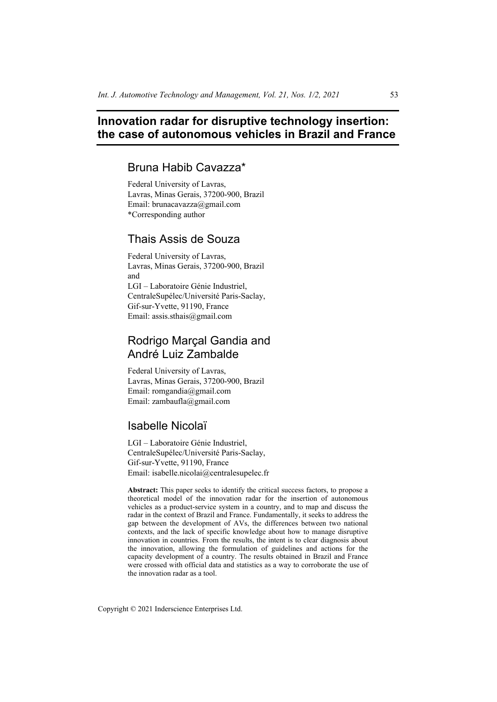# **Innovation radar for disruptive technology insertion: the case of autonomous vehicles in Brazil and France**

## Bruna Habib Cavazza\*

Federal University of Lavras, Lavras, Minas Gerais, 37200-900, Brazil Email: brunacavazza@gmail.com \*Corresponding author

# Thais Assis de Souza

Federal University of Lavras, Lavras, Minas Gerais, 37200-900, Brazil and LGI – Laboratoire Génie Industriel, CentraleSupélec/Université Paris-Saclay, Gif-sur-Yvette, 91190, France Email: assis.sthais@gmail.com

# Rodrigo Marçal Gandia and André Luiz Zambalde

Federal University of Lavras, Lavras, Minas Gerais, 37200-900, Brazil Email: romgandia@gmail.com Email: zambaufla@gmail.com

# Isabelle Nicolaï

LGI – Laboratoire Génie Industriel, CentraleSupélec/Université Paris-Saclay, Gif-sur-Yvette, 91190, France Email: isabelle.nicolai@centralesupelec.fr

**Abstract:** This paper seeks to identify the critical success factors, to propose a theoretical model of the innovation radar for the insertion of autonomous vehicles as a product-service system in a country, and to map and discuss the radar in the context of Brazil and France. Fundamentally, it seeks to address the gap between the development of AVs, the differences between two national contexts, and the lack of specific knowledge about how to manage disruptive innovation in countries. From the results, the intent is to clear diagnosis about the innovation, allowing the formulation of guidelines and actions for the capacity development of a country. The results obtained in Brazil and France were crossed with official data and statistics as a way to corroborate the use of the innovation radar as a tool.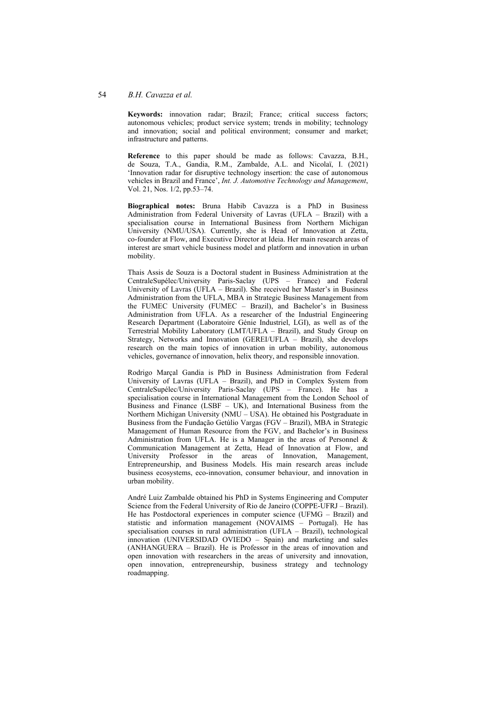### 54 *B.H. Cavazza et al.*

**Keywords:** innovation radar; Brazil; France; critical success factors; autonomous vehicles; product service system; trends in mobility; technology and innovation; social and political environment; consumer and market; infrastructure and patterns.

**Reference** to this paper should be made as follows: Cavazza, B.H., de Souza, T.A., Gandia, R.M., Zambalde, A.L. and Nicolaï, I. (2021) 'Innovation radar for disruptive technology insertion: the case of autonomous vehicles in Brazil and France', *Int. J. Automotive Technology and Management*, Vol. 21, Nos. 1/2, pp.53–74.

**Biographical notes:** Bruna Habib Cavazza is a PhD in Business Administration from Federal University of Lavras (UFLA – Brazil) with a specialisation course in International Business from Northern Michigan University (NMU/USA). Currently, she is Head of Innovation at Zetta, co-founder at Flow, and Executive Director at Ideia. Her main research areas of interest are smart vehicle business model and platform and innovation in urban mobility.

Thais Assis de Souza is a Doctoral student in Business Administration at the CentraleSupélec/University Paris-Saclay (UPS – France) and Federal University of Lavras (UFLA – Brazil). She received her Master's in Business Administration from the UFLA, MBA in Strategic Business Management from the FUMEC University (FUMEC – Brazil), and Bachelor's in Business Administration from UFLA. As a researcher of the Industrial Engineering Research Department (Laboratoire Génie Industriel, LGI), as well as of the Terrestrial Mobility Laboratory (LMT/UFLA – Brazil), and Study Group on Strategy, Networks and Innovation (GEREI/UFLA – Brazil), she develops research on the main topics of innovation in urban mobility, autonomous vehicles, governance of innovation, helix theory, and responsible innovation.

Rodrigo Marçal Gandia is PhD in Business Administration from Federal University of Lavras (UFLA – Brazil), and PhD in Complex System from CentraleSupélec/University Paris-Saclay (UPS – France). He has a specialisation course in International Management from the London School of Business and Finance (LSBF – UK), and International Business from the Northern Michigan University (NMU – USA). He obtained his Postgraduate in Business from the Fundação Getúlio Vargas (FGV – Brazil), MBA in Strategic Management of Human Resource from the FGV, and Bachelor's in Business Administration from UFLA. He is a Manager in the areas of Personnel & Communication Management at Zetta, Head of Innovation at Flow, and University Professor in the areas of Innovation, Management, Entrepreneurship, and Business Models. His main research areas include business ecosystems, eco-innovation, consumer behaviour, and innovation in urban mobility.

André Luiz Zambalde obtained his PhD in Systems Engineering and Computer Science from the Federal University of Rio de Janeiro (COPPE-UFRJ – Brazil). He has Postdoctoral experiences in computer science (UFMG – Brazil) and statistic and information management (NOVAIMS – Portugal). He has specialisation courses in rural administration (UFLA – Brazil), technological innovation (UNIVERSIDAD OVIEDO – Spain) and marketing and sales (ANHANGUERA – Brazil). He is Professor in the areas of innovation and open innovation with researchers in the areas of university and innovation, open innovation, entrepreneurship, business strategy and technology roadmapping.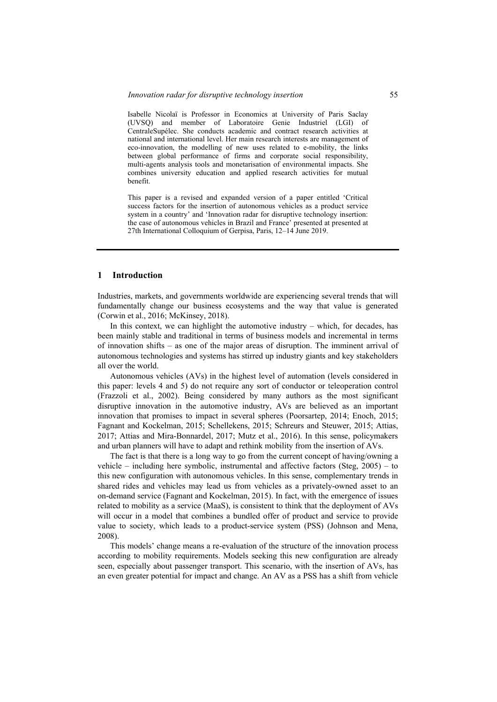Isabelle Nicolaï is Professor in Economics at University of Paris Saclay (UVSQ) and member of Laboratoire Genie Industriel (LGI) of CentraleSupélec. She conducts academic and contract research activities at national and international level. Her main research interests are management of eco-innovation, the modelling of new uses related to e-mobility, the links between global performance of firms and corporate social responsibility, multi-agents analysis tools and monetarisation of environmental impacts. She combines university education and applied research activities for mutual benefit.

This paper is a revised and expanded version of a paper entitled 'Critical success factors for the insertion of autonomous vehicles as a product service system in a country' and 'Innovation radar for disruptive technology insertion: the case of autonomous vehicles in Brazil and France' presented at presented at 27th International Colloquium of Gerpisa, Paris, 12–14 June 2019.

### **1 Introduction**

Industries, markets, and governments worldwide are experiencing several trends that will fundamentally change our business ecosystems and the way that value is generated (Corwin et al., 2016; McKinsey, 2018).

In this context, we can highlight the automotive industry – which, for decades, has been mainly stable and traditional in terms of business models and incremental in terms of innovation shifts – as one of the major areas of disruption. The imminent arrival of autonomous technologies and systems has stirred up industry giants and key stakeholders all over the world.

Autonomous vehicles (AVs) in the highest level of automation (levels considered in this paper: levels 4 and 5) do not require any sort of conductor or teleoperation control (Frazzoli et al., 2002). Being considered by many authors as the most significant disruptive innovation in the automotive industry, AVs are believed as an important innovation that promises to impact in several spheres (Poorsartep, 2014; Enoch, 2015; Fagnant and Kockelman, 2015; Schellekens, 2015; Schreurs and Steuwer, 2015; Attias, 2017; Attias and Mira-Bonnardel, 2017; Mutz et al., 2016). In this sense, policymakers and urban planners will have to adapt and rethink mobility from the insertion of AVs.

The fact is that there is a long way to go from the current concept of having/owning a vehicle – including here symbolic, instrumental and affective factors (Steg, 2005) – to this new configuration with autonomous vehicles. In this sense, complementary trends in shared rides and vehicles may lead us from vehicles as a privately-owned asset to an on-demand service (Fagnant and Kockelman, 2015). In fact, with the emergence of issues related to mobility as a service (MaaS), is consistent to think that the deployment of AVs will occur in a model that combines a bundled offer of product and service to provide value to society, which leads to a product-service system (PSS) (Johnson and Mena, 2008).

This models' change means a re-evaluation of the structure of the innovation process according to mobility requirements. Models seeking this new configuration are already seen, especially about passenger transport. This scenario, with the insertion of AVs, has an even greater potential for impact and change. An AV as a PSS has a shift from vehicle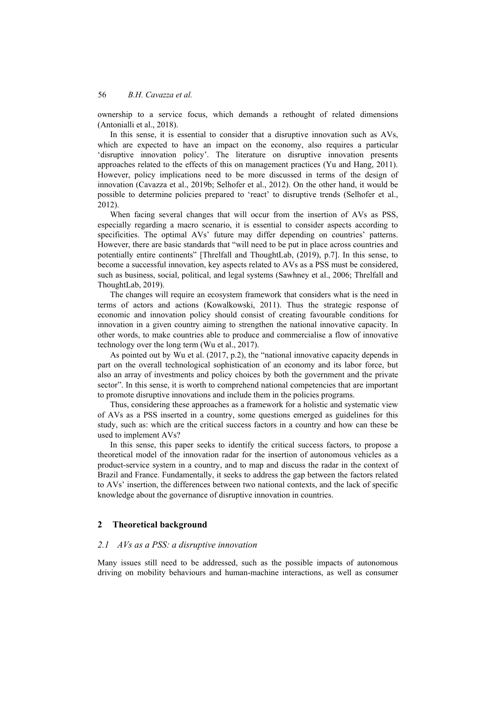ownership to a service focus, which demands a rethought of related dimensions (Antonialli et al., 2018).

In this sense, it is essential to consider that a disruptive innovation such as AVs, which are expected to have an impact on the economy, also requires a particular 'disruptive innovation policy'. The literature on disruptive innovation presents approaches related to the effects of this on management practices (Yu and Hang, 2011). However, policy implications need to be more discussed in terms of the design of innovation (Cavazza et al., 2019b; Selhofer et al., 2012). On the other hand, it would be possible to determine policies prepared to 'react' to disruptive trends (Selhofer et al., 2012).

When facing several changes that will occur from the insertion of AVs as PSS, especially regarding a macro scenario, it is essential to consider aspects according to specificities. The optimal AVs' future may differ depending on countries' patterns. However, there are basic standards that "will need to be put in place across countries and potentially entire continents" [Threlfall and ThoughtLab, (2019), p.7]. In this sense, to become a successful innovation, key aspects related to AVs as a PSS must be considered, such as business, social, political, and legal systems (Sawhney et al., 2006; Threlfall and ThoughtLab, 2019).

The changes will require an ecosystem framework that considers what is the need in terms of actors and actions (Kowalkowski, 2011). Thus the strategic response of economic and innovation policy should consist of creating favourable conditions for innovation in a given country aiming to strengthen the national innovative capacity. In other words, to make countries able to produce and commercialise a flow of innovative technology over the long term (Wu et al., 2017).

As pointed out by Wu et al. (2017, p.2), the "national innovative capacity depends in part on the overall technological sophistication of an economy and its labor force, but also an array of investments and policy choices by both the government and the private sector". In this sense, it is worth to comprehend national competencies that are important to promote disruptive innovations and include them in the policies programs.

Thus, considering these approaches as a framework for a holistic and systematic view of AVs as a PSS inserted in a country, some questions emerged as guidelines for this study, such as: which are the critical success factors in a country and how can these be used to implement AVs?

In this sense, this paper seeks to identify the critical success factors, to propose a theoretical model of the innovation radar for the insertion of autonomous vehicles as a product-service system in a country, and to map and discuss the radar in the context of Brazil and France. Fundamentally, it seeks to address the gap between the factors related to AVs' insertion, the differences between two national contexts, and the lack of specific knowledge about the governance of disruptive innovation in countries.

## **2 Theoretical background**

### *2.1 AVs as a PSS: a disruptive innovation*

Many issues still need to be addressed, such as the possible impacts of autonomous driving on mobility behaviours and human-machine interactions, as well as consumer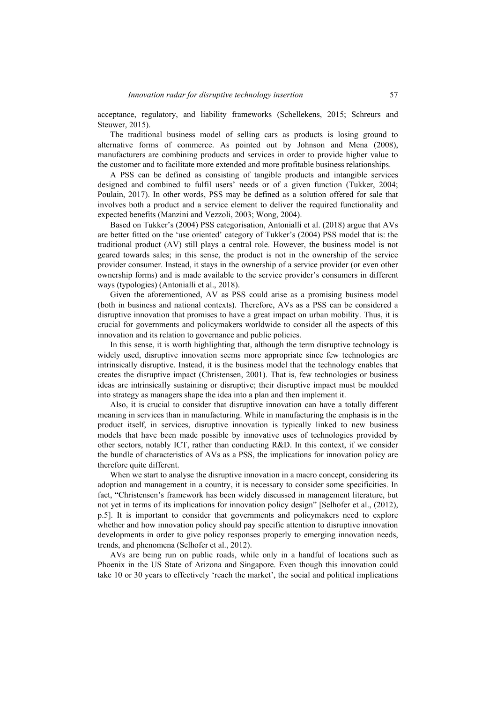acceptance, regulatory, and liability frameworks (Schellekens, 2015; Schreurs and Steuwer, 2015).

The traditional business model of selling cars as products is losing ground to alternative forms of commerce. As pointed out by Johnson and Mena (2008), manufacturers are combining products and services in order to provide higher value to the customer and to facilitate more extended and more profitable business relationships.

A PSS can be defined as consisting of tangible products and intangible services designed and combined to fulfil users' needs or of a given function (Tukker, 2004; Poulain, 2017). In other words, PSS may be defined as a solution offered for sale that involves both a product and a service element to deliver the required functionality and expected benefits (Manzini and Vezzoli, 2003; Wong, 2004).

Based on Tukker's (2004) PSS categorisation, Antonialli et al. (2018) argue that AVs are better fitted on the 'use oriented' category of Tukker's (2004) PSS model that is: the traditional product (AV) still plays a central role. However, the business model is not geared towards sales; in this sense, the product is not in the ownership of the service provider consumer. Instead, it stays in the ownership of a service provider (or even other ownership forms) and is made available to the service provider's consumers in different ways (typologies) (Antonialli et al., 2018).

Given the aforementioned, AV as PSS could arise as a promising business model (both in business and national contexts). Therefore, AVs as a PSS can be considered a disruptive innovation that promises to have a great impact on urban mobility. Thus, it is crucial for governments and policymakers worldwide to consider all the aspects of this innovation and its relation to governance and public policies.

In this sense, it is worth highlighting that, although the term disruptive technology is widely used, disruptive innovation seems more appropriate since few technologies are intrinsically disruptive. Instead, it is the business model that the technology enables that creates the disruptive impact (Christensen, 2001). That is, few technologies or business ideas are intrinsically sustaining or disruptive; their disruptive impact must be moulded into strategy as managers shape the idea into a plan and then implement it.

Also, it is crucial to consider that disruptive innovation can have a totally different meaning in services than in manufacturing. While in manufacturing the emphasis is in the product itself, in services, disruptive innovation is typically linked to new business models that have been made possible by innovative uses of technologies provided by other sectors, notably ICT, rather than conducting R&D. In this context, if we consider the bundle of characteristics of AVs as a PSS, the implications for innovation policy are therefore quite different.

When we start to analyse the disruptive innovation in a macro concept, considering its adoption and management in a country, it is necessary to consider some specificities. In fact, "Christensen's framework has been widely discussed in management literature, but not yet in terms of its implications for innovation policy design" [Selhofer et al., (2012), p.5]. It is important to consider that governments and policymakers need to explore whether and how innovation policy should pay specific attention to disruptive innovation developments in order to give policy responses properly to emerging innovation needs, trends, and phenomena (Selhofer et al., 2012).

AVs are being run on public roads, while only in a handful of locations such as Phoenix in the US State of Arizona and Singapore. Even though this innovation could take 10 or 30 years to effectively 'reach the market', the social and political implications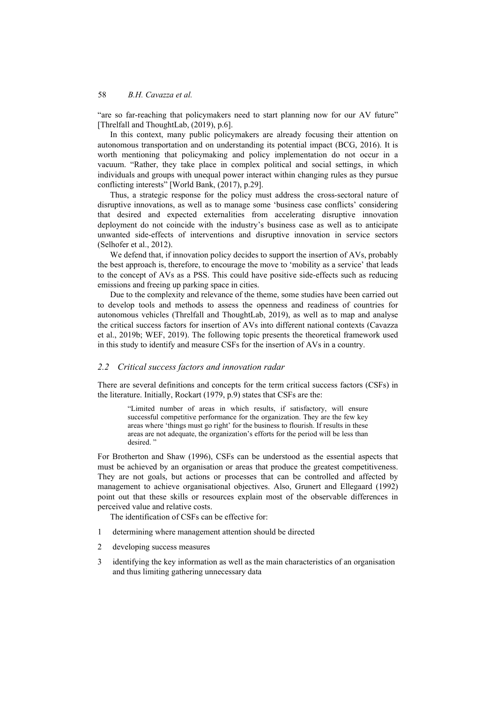"are so far-reaching that policymakers need to start planning now for our AV future" [Threlfall and ThoughtLab, (2019), p.6].

In this context, many public policymakers are already focusing their attention on autonomous transportation and on understanding its potential impact (BCG, 2016). It is worth mentioning that policymaking and policy implementation do not occur in a vacuum. "Rather, they take place in complex political and social settings, in which individuals and groups with unequal power interact within changing rules as they pursue conflicting interests" [World Bank, (2017), p.29].

Thus, a strategic response for the policy must address the cross-sectoral nature of disruptive innovations, as well as to manage some 'business case conflicts' considering that desired and expected externalities from accelerating disruptive innovation deployment do not coincide with the industry's business case as well as to anticipate unwanted side-effects of interventions and disruptive innovation in service sectors (Selhofer et al., 2012).

We defend that, if innovation policy decides to support the insertion of AVs, probably the best approach is, therefore, to encourage the move to 'mobility as a service' that leads to the concept of AVs as a PSS. This could have positive side-effects such as reducing emissions and freeing up parking space in cities.

Due to the complexity and relevance of the theme, some studies have been carried out to develop tools and methods to assess the openness and readiness of countries for autonomous vehicles (Threlfall and ThoughtLab, 2019), as well as to map and analyse the critical success factors for insertion of AVs into different national contexts (Cavazza et al., 2019b; WEF, 2019). The following topic presents the theoretical framework used in this study to identify and measure CSFs for the insertion of AVs in a country.

## *2.2 Critical success factors and innovation radar*

There are several definitions and concepts for the term critical success factors (CSFs) in the literature. Initially, Rockart (1979, p.9) states that CSFs are the:

"Limited number of areas in which results, if satisfactory, will ensure successful competitive performance for the organization. They are the few key areas where 'things must go right' for the business to flourish. If results in these areas are not adequate, the organization's efforts for the period will be less than desired."

For Brotherton and Shaw (1996), CSFs can be understood as the essential aspects that must be achieved by an organisation or areas that produce the greatest competitiveness. They are not goals, but actions or processes that can be controlled and affected by management to achieve organisational objectives. Also, Grunert and Ellegaard (1992) point out that these skills or resources explain most of the observable differences in perceived value and relative costs.

The identification of CSFs can be effective for:

- 1 determining where management attention should be directed
- 2 developing success measures
- 3 identifying the key information as well as the main characteristics of an organisation and thus limiting gathering unnecessary data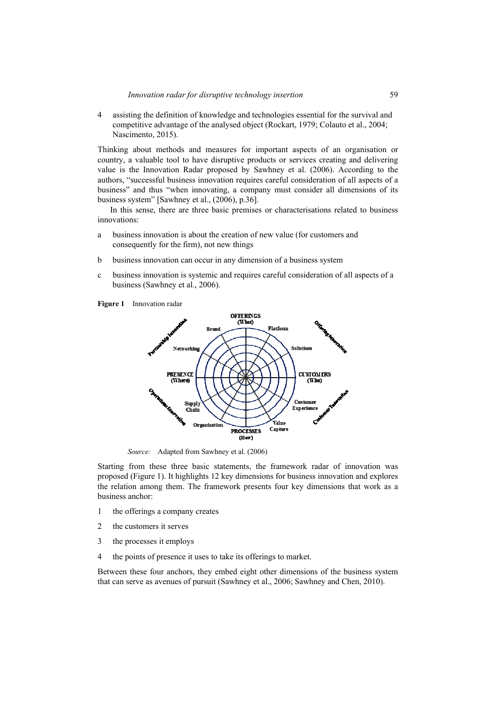4 assisting the definition of knowledge and technologies essential for the survival and competitive advantage of the analysed object (Rockart, 1979; Colauto et al., 2004; Nascimento, 2015).

Thinking about methods and measures for important aspects of an organisation or country, a valuable tool to have disruptive products or services creating and delivering value is the Innovation Radar proposed by Sawhney et al. (2006). According to the authors, "successful business innovation requires careful consideration of all aspects of a business" and thus "when innovating, a company must consider all dimensions of its business system" [Sawhney et al., (2006), p.36].

In this sense, there are three basic premises or characterisations related to business innovations:

- a business innovation is about the creation of new value (for customers and consequently for the firm), not new things
- b business innovation can occur in any dimension of a business system
- c business innovation is systemic and requires careful consideration of all aspects of a business (Sawhney et al., 2006).

**Figure 1** Innovation radar



*Source:* Adapted from Sawhney et al. (2006)

Starting from these three basic statements, the framework radar of innovation was proposed (Figure 1). It highlights 12 key dimensions for business innovation and explores the relation among them. The framework presents four key dimensions that work as a business anchor:

- 1 the offerings a company creates
- 2 the customers it serves
- 3 the processes it employs
- 4 the points of presence it uses to take its offerings to market.

Between these four anchors, they embed eight other dimensions of the business system that can serve as avenues of pursuit (Sawhney et al., 2006; Sawhney and Chen, 2010).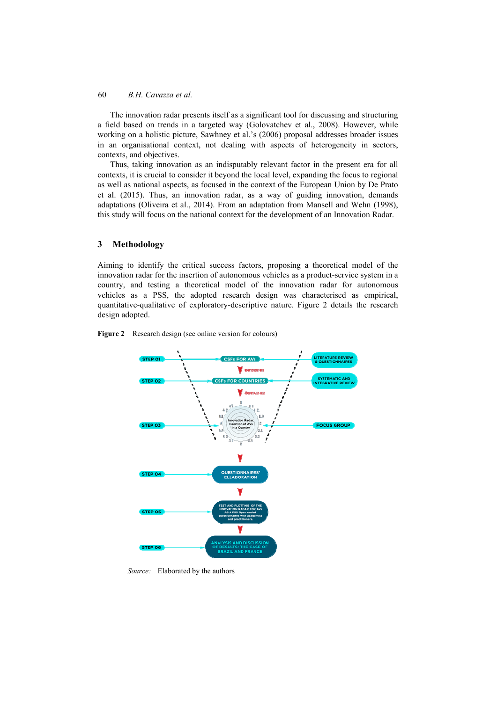The innovation radar presents itself as a significant tool for discussing and structuring a field based on trends in a targeted way (Golovatchev et al., 2008). However, while working on a holistic picture, Sawhney et al.'s (2006) proposal addresses broader issues in an organisational context, not dealing with aspects of heterogeneity in sectors, contexts, and objectives.

Thus, taking innovation as an indisputably relevant factor in the present era for all contexts, it is crucial to consider it beyond the local level, expanding the focus to regional as well as national aspects, as focused in the context of the European Union by De Prato et al. (2015). Thus, an innovation radar, as a way of guiding innovation, demands adaptations (Oliveira et al., 2014). From an adaptation from Mansell and Wehn (1998), this study will focus on the national context for the development of an Innovation Radar.

## **3 Methodology**

Aiming to identify the critical success factors, proposing a theoretical model of the innovation radar for the insertion of autonomous vehicles as a product-service system in a country, and testing a theoretical model of the innovation radar for autonomous vehicles as a PSS, the adopted research design was characterised as empirical, quantitative-qualitative of exploratory-descriptive nature. Figure 2 details the research design adopted.





*Source:* Elaborated by the authors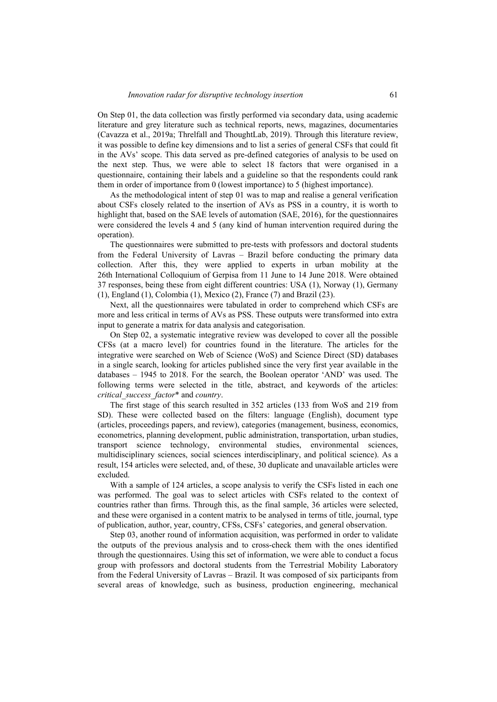On Step 01, the data collection was firstly performed via secondary data, using academic literature and grey literature such as technical reports, news, magazines, documentaries (Cavazza et al., 2019a; Threlfall and ThoughtLab, 2019). Through this literature review, it was possible to define key dimensions and to list a series of general CSFs that could fit in the AVs' scope. This data served as pre-defined categories of analysis to be used on the next step. Thus, we were able to select 18 factors that were organised in a questionnaire, containing their labels and a guideline so that the respondents could rank them in order of importance from 0 (lowest importance) to 5 (highest importance).

As the methodological intent of step 01 was to map and realise a general verification about CSFs closely related to the insertion of AVs as PSS in a country, it is worth to highlight that, based on the SAE levels of automation (SAE, 2016), for the questionnaires were considered the levels 4 and 5 (any kind of human intervention required during the operation).

The questionnaires were submitted to pre-tests with professors and doctoral students from the Federal University of Lavras – Brazil before conducting the primary data collection. After this, they were applied to experts in urban mobility at the 26th International Colloquium of Gerpisa from 11 June to 14 June 2018. Were obtained 37 responses, being these from eight different countries: USA (1), Norway (1), Germany (1), England (1), Colombia (1), Mexico (2), France (7) and Brazil (23).

Next, all the questionnaires were tabulated in order to comprehend which CSFs are more and less critical in terms of AVs as PSS. These outputs were transformed into extra input to generate a matrix for data analysis and categorisation.

On Step 02, a systematic integrative review was developed to cover all the possible CFSs (at a macro level) for countries found in the literature. The articles for the integrative were searched on Web of Science (WoS) and Science Direct (SD) databases in a single search, looking for articles published since the very first year available in the databases – 1945 to 2018. For the search, the Boolean operator 'AND' was used. The following terms were selected in the title, abstract, and keywords of the articles: *critical\_success\_factor*\* and *country*.

The first stage of this search resulted in 352 articles (133 from WoS and 219 from SD). These were collected based on the filters: language (English), document type (articles, proceedings papers, and review), categories (management, business, economics, econometrics, planning development, public administration, transportation, urban studies, transport science technology, environmental studies, environmental sciences, multidisciplinary sciences, social sciences interdisciplinary, and political science). As a result, 154 articles were selected, and, of these, 30 duplicate and unavailable articles were excluded.

With a sample of 124 articles, a scope analysis to verify the CSFs listed in each one was performed. The goal was to select articles with CSFs related to the context of countries rather than firms. Through this, as the final sample, 36 articles were selected, and these were organised in a content matrix to be analysed in terms of title, journal, type of publication, author, year, country, CFSs, CSFs' categories, and general observation.

Step 03, another round of information acquisition, was performed in order to validate the outputs of the previous analysis and to cross-check them with the ones identified through the questionnaires. Using this set of information, we were able to conduct a focus group with professors and doctoral students from the Terrestrial Mobility Laboratory from the Federal University of Lavras – Brazil. It was composed of six participants from several areas of knowledge, such as business, production engineering, mechanical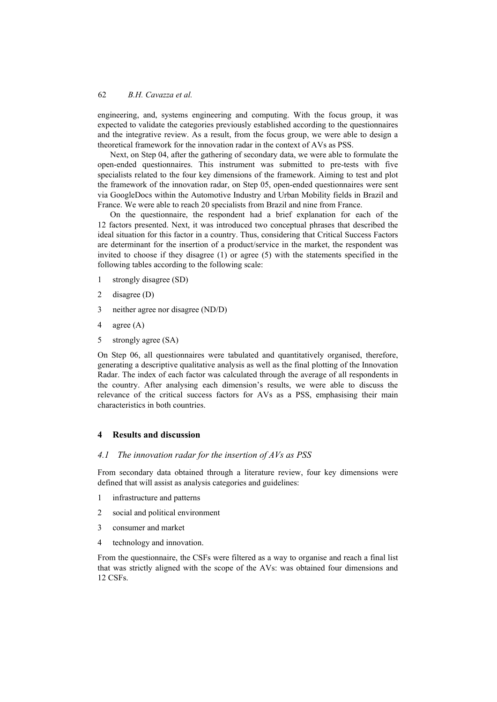engineering, and, systems engineering and computing. With the focus group, it was expected to validate the categories previously established according to the questionnaires and the integrative review. As a result, from the focus group, we were able to design a theoretical framework for the innovation radar in the context of AVs as PSS.

Next, on Step 04, after the gathering of secondary data, we were able to formulate the open-ended questionnaires. This instrument was submitted to pre-tests with five specialists related to the four key dimensions of the framework. Aiming to test and plot the framework of the innovation radar, on Step 05, open-ended questionnaires were sent via GoogleDocs within the Automotive Industry and Urban Mobility fields in Brazil and France. We were able to reach 20 specialists from Brazil and nine from France.

On the questionnaire, the respondent had a brief explanation for each of the 12 factors presented. Next, it was introduced two conceptual phrases that described the ideal situation for this factor in a country. Thus, considering that Critical Success Factors are determinant for the insertion of a product/service in the market, the respondent was invited to choose if they disagree (1) or agree (5) with the statements specified in the following tables according to the following scale:

- 1 strongly disagree (SD)
- 2 disagree (D)
- 3 neither agree nor disagree (ND/D)
- 4 agree (A)
- 5 strongly agree (SA)

On Step 06, all questionnaires were tabulated and quantitatively organised, therefore, generating a descriptive qualitative analysis as well as the final plotting of the Innovation Radar. The index of each factor was calculated through the average of all respondents in the country. After analysing each dimension's results, we were able to discuss the relevance of the critical success factors for AVs as a PSS, emphasising their main characteristics in both countries.

## **4 Results and discussion**

## *4.1 The innovation radar for the insertion of AVs as PSS*

From secondary data obtained through a literature review, four key dimensions were defined that will assist as analysis categories and guidelines:

- 1 infrastructure and patterns
- 2 social and political environment
- 3 consumer and market
- 4 technology and innovation.

From the questionnaire, the CSFs were filtered as a way to organise and reach a final list that was strictly aligned with the scope of the AVs: was obtained four dimensions and 12 CSFs.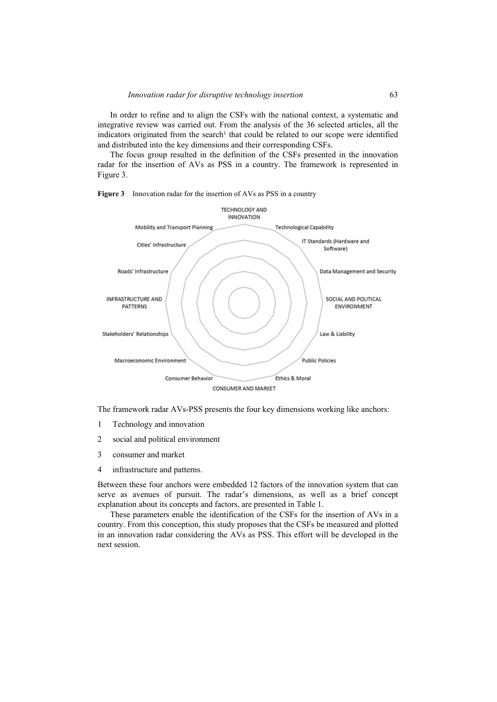In order to refine and to align the CSFs with the national context, a systematic and integrative review was carried out. From the analysis of the 36 selected articles, all the indicators originated from the search<sup>1</sup> that could be related to our scope were identified and distributed into the key dimensions and their corresponding CSFs.

The focus group resulted in the definition of the CSFs presented in the innovation radar for the insertion of AVs as PSS in a country. The framework is represented in Figure 3.





The framework radar AVs-PSS presents the four key dimensions working like anchors:

- 1 Technology and innovation
- 2 social and political environment
- 3 consumer and market
- 4 infrastructure and patterns.

Between these four anchors were embedded 12 factors of the innovation system that can serve as avenues of pursuit. The radar's dimensions, as well as a brief concept explanation about its concepts and factors, are presented in Table 1.

These parameters enable the identification of the CSFs for the insertion of AVs in a country. From this conception, this study proposes that the CSFs be measured and plotted in an innovation radar considering the AVs as PSS. This effort will be developed in the next session.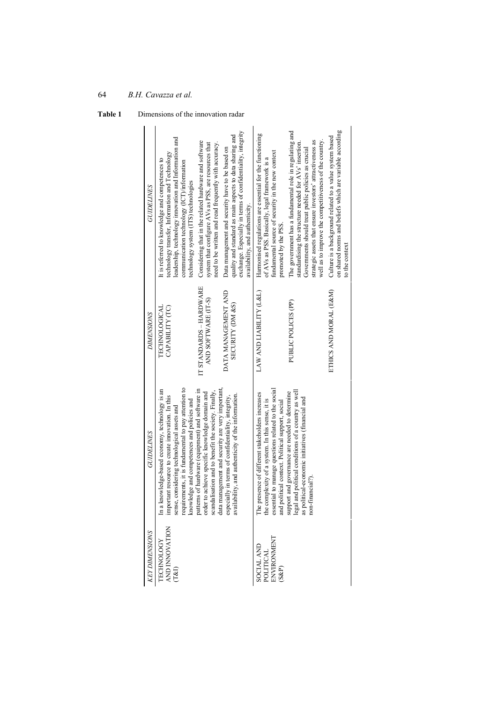| <b>GUIDELINES</b>     | leadership, technology innovation and Information and<br>technology transfer, Information and Technology<br>It is referred to knowledge and competences to<br>communication technology (ICT)/information<br>technology system (ITS) technologies                                                                                                                                                                                                                                                                                                                                    | Considering that in the related hardware and software<br>need to be written and read frequently with accuracy.<br>system that configure AVs as PSS, are resources that | exchange. Especially in terms of confidentiality, integrity<br>quality and standard as main aspects to data sharing and<br>Data management and security have to be based on<br>availability, and authenticity.                                                                                                                                                                                                     | Harmonised regulations are essential for the functioning<br>fundamental source of security in the new context<br>of AVs as PSS. Basically, legal framework is a<br>promoted by the PSS. | The government has a fundamental role in regulating and<br>well as to improve the competitiveness of the country.<br>strategic assets that ensure investors' attractiveness as<br>standardising the structure needed for AVs' insertion.<br>Governments should treat public policies as crucial | on shared norms and beliefs which are variable according<br>Culture is a background related to a value system based<br>to the context |
|-----------------------|-------------------------------------------------------------------------------------------------------------------------------------------------------------------------------------------------------------------------------------------------------------------------------------------------------------------------------------------------------------------------------------------------------------------------------------------------------------------------------------------------------------------------------------------------------------------------------------|------------------------------------------------------------------------------------------------------------------------------------------------------------------------|--------------------------------------------------------------------------------------------------------------------------------------------------------------------------------------------------------------------------------------------------------------------------------------------------------------------------------------------------------------------------------------------------------------------|-----------------------------------------------------------------------------------------------------------------------------------------------------------------------------------------|-------------------------------------------------------------------------------------------------------------------------------------------------------------------------------------------------------------------------------------------------------------------------------------------------|---------------------------------------------------------------------------------------------------------------------------------------|
| <b>DIMENSIONS</b>     | TECHNOLOGICAL<br>CAPABILITY (TC)                                                                                                                                                                                                                                                                                                                                                                                                                                                                                                                                                    | IT STANDARDS - HARDWARE<br>AND SOFTWARE (IT-S)                                                                                                                         | DATA MANAGEMENT AND<br><b>SECURITY (DM &amp;S)</b>                                                                                                                                                                                                                                                                                                                                                                 | LAW AND LIABILITY (L&L)                                                                                                                                                                 | PUBLIC POLICES (PP)                                                                                                                                                                                                                                                                             | ETHICS AND MORAL (E&M)                                                                                                                |
| <b>GUIDELINES</b>     | requirements, it is fundamental to pay attention to<br>knowledge and competences and policies and<br>data management and security are very important,<br>patterns of hardware (equipment) and software in<br>In a knowledge-based economy, technology is an<br>scandalisation and to benefit the society. Finally,<br>order to achieve specific knowledge domain and<br>availability, and authenticity of the information.<br>important resource to create innovation. In this<br>especially in terms of confidentiality, integrity,<br>sense, considering technological assets and |                                                                                                                                                                        | essential to manage questions related to the social<br>and political context. Political support, social<br>legal and political conditions of a country as well<br>support and governance are needed to determine<br>The presence of different stakeholders increases<br>as political-economic initiatives (financial and<br>the complexity of a system. In this sense, it is<br>hancial <sup>?</sup> ).<br>non-fii |                                                                                                                                                                                         |                                                                                                                                                                                                                                                                                                 |                                                                                                                                       |
| <b>KEY DIMENSIONS</b> | AND INNOVATION<br><b>TECHNOLOGY</b><br>$\left( 7\&1\right)$                                                                                                                                                                                                                                                                                                                                                                                                                                                                                                                         |                                                                                                                                                                        |                                                                                                                                                                                                                                                                                                                                                                                                                    | ENVIRONMENT<br>SOCIAL AND<br>POLITICAL<br>$(S\&P)$                                                                                                                                      |                                                                                                                                                                                                                                                                                                 |                                                                                                                                       |

**Table 1** Dimensions of the innovation radar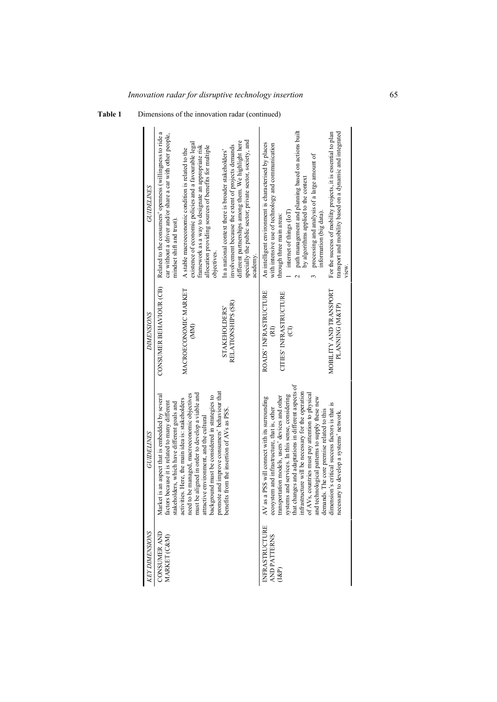| GUIDELINES            | Related to the consumers' openness (willingness to ride a<br>car without a driver and/or share a car with other people,<br>mindset shift and trust).                                                                                                                                                                                                                                                                                                                                                             | existence of economic policies and a favourable legal<br>framework as a way to designate an appropriate risk<br>allocation providing sources of benefits for multiple<br>A stable macroeconomic condition is related to the<br>objectives. | specially the public sector; private sector, society, and<br>different partnerships among them. We highlight here<br>involvement because the extent of projects demands<br>In a national context there is broader stakeholders'<br>academy. | path management and planning based on actions built<br>An intelligent environment is characterised by places<br>with intensive use of technology and communication<br>processing and analysis of a large amount of<br>by algorithms applied to the context<br>internet of things (IoT)<br>information (big data).<br>through three main areas:<br>$\mathcal{L}$                                                                                                                                                                                                     | transport and mobility based on a dynamic and integrated<br>For the success of mobility projects, it is essential to plan<br>view. |
|-----------------------|------------------------------------------------------------------------------------------------------------------------------------------------------------------------------------------------------------------------------------------------------------------------------------------------------------------------------------------------------------------------------------------------------------------------------------------------------------------------------------------------------------------|--------------------------------------------------------------------------------------------------------------------------------------------------------------------------------------------------------------------------------------------|---------------------------------------------------------------------------------------------------------------------------------------------------------------------------------------------------------------------------------------------|---------------------------------------------------------------------------------------------------------------------------------------------------------------------------------------------------------------------------------------------------------------------------------------------------------------------------------------------------------------------------------------------------------------------------------------------------------------------------------------------------------------------------------------------------------------------|------------------------------------------------------------------------------------------------------------------------------------|
| DIMENSIONS            | CONSUMER BEHAVIOUR (CB)                                                                                                                                                                                                                                                                                                                                                                                                                                                                                          | MACROECONOMIC MARKET<br>$\mathbb{R}$                                                                                                                                                                                                       | RELATIONSHIPS (SR)<br>STAKEHOLDERS'                                                                                                                                                                                                         | ROADS' INFRASTRUCTURE<br>CITIES' INFRASTRUCTURE<br>$\widehat{\Xi}$<br>(RI)                                                                                                                                                                                                                                                                                                                                                                                                                                                                                          | MOBILITY AND TRANSPORT<br>PLANNING (M&TP)                                                                                          |
| GUIDELINES            | promote and improve consumers' behaviour that<br>need to be managed, macroeconomic objectives<br>must be aligned in order to develop a viable and<br>Market is an aspect that is embedded by several<br>background must be considered in strategies to<br>ies. Here, the main idea is: stakeholders<br>factors because it is related to many different<br>stakeholders, which have different goals and<br>ts from the insertion of AVs as PSS.<br>attractive environment, and the cultural<br>activiti<br>benefi |                                                                                                                                                                                                                                            |                                                                                                                                                                                                                                             | systems and services. In this sense, considering<br>that changes and adaptations in different aspects of<br>infrastructure will be necessary for the operation<br>of AVs, countries must pay attention to physical<br>transportation models, users' devices and other<br>AV as a PSS will connect with its surrounding<br>and technological patterns to supply these new<br>dimension's critical success factors is that is<br>ecosystem and infrastructure, that is, other<br>demands. The core premise related to this<br>necessary to develop a systems' network |                                                                                                                                    |
| <b>KEY DIMENSIONS</b> | <b>CONSUMER AND</b><br>MARKET (C&M)                                                                                                                                                                                                                                                                                                                                                                                                                                                                              |                                                                                                                                                                                                                                            | INFRASTRUCTURE<br>AND PATTERNS<br>$(1\&P)$                                                                                                                                                                                                  |                                                                                                                                                                                                                                                                                                                                                                                                                                                                                                                                                                     |                                                                                                                                    |

**Table 1** Dimensions of the innovation radar (continued)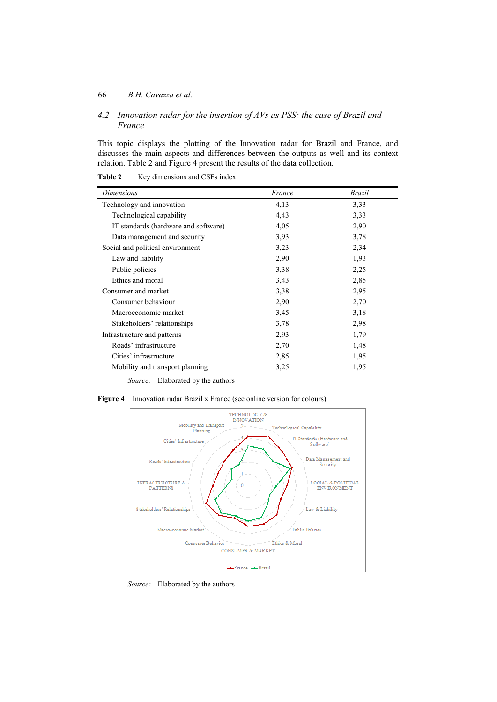### 66 *B.H. Cavazza et al.*

*4.2 Innovation radar for the insertion of AVs as PSS: the case of Brazil and France* 

This topic displays the plotting of the Innovation radar for Brazil and France, and discusses the main aspects and differences between the outputs as well and its context relation. Table 2 and Figure 4 present the results of the data collection.

| Dimensions                           | France | Brazil |
|--------------------------------------|--------|--------|
| Technology and innovation            | 4,13   | 3,33   |
| Technological capability             | 4,43   | 3,33   |
| IT standards (hardware and software) | 4,05   | 2,90   |
| Data management and security         | 3,93   | 3,78   |
| Social and political environment     | 3,23   | 2,34   |
| Law and liability                    | 2,90   | 1,93   |
| Public policies                      | 3,38   | 2,25   |
| Ethics and moral                     | 3,43   | 2,85   |
| Consumer and market                  | 3,38   | 2,95   |
| Consumer behaviour                   | 2,90   | 2,70   |
| Macroeconomic market                 | 3,45   | 3,18   |
| Stakeholders' relationships          | 3,78   | 2,98   |
| Infrastructure and patterns          | 2,93   | 1,79   |
| Roads' infrastructure                | 2,70   | 1,48   |
| Cities' infrastructure               | 2,85   | 1,95   |
| Mobility and transport planning      | 3,25   | 1,95   |

Table 2 Key dimensions and CSFs index

*Source:* Elaborated by the authors

**Figure 4** Innovation radar Brazil x France (see online version for colours)



*Source:* Elaborated by the authors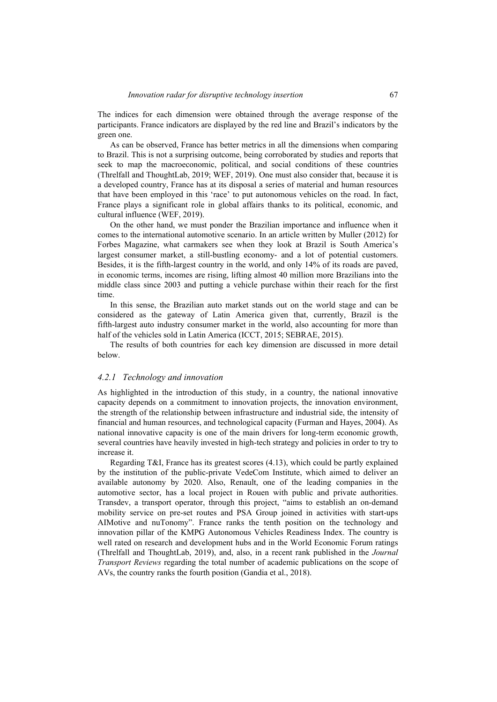The indices for each dimension were obtained through the average response of the participants. France indicators are displayed by the red line and Brazil's indicators by the green one.

As can be observed, France has better metrics in all the dimensions when comparing to Brazil. This is not a surprising outcome, being corroborated by studies and reports that seek to map the macroeconomic, political, and social conditions of these countries (Threlfall and ThoughtLab, 2019; WEF, 2019). One must also consider that, because it is a developed country, France has at its disposal a series of material and human resources that have been employed in this 'race' to put autonomous vehicles on the road. In fact, France plays a significant role in global affairs thanks to its political, economic, and cultural influence (WEF, 2019).

On the other hand, we must ponder the Brazilian importance and influence when it comes to the international automotive scenario. In an article written by Muller (2012) for Forbes Magazine, what carmakers see when they look at Brazil is South America's largest consumer market, a still-bustling economy- and a lot of potential customers. Besides, it is the fifth-largest country in the world, and only 14% of its roads are paved, in economic terms, incomes are rising, lifting almost 40 million more Brazilians into the middle class since 2003 and putting a vehicle purchase within their reach for the first time.

In this sense, the Brazilian auto market stands out on the world stage and can be considered as the gateway of Latin America given that, currently, Brazil is the fifth-largest auto industry consumer market in the world, also accounting for more than half of the vehicles sold in Latin America (ICCT, 2015; SEBRAE, 2015).

The results of both countries for each key dimension are discussed in more detail below.

#### *4.2.1 Technology and innovation*

As highlighted in the introduction of this study, in a country, the national innovative capacity depends on a commitment to innovation projects, the innovation environment, the strength of the relationship between infrastructure and industrial side, the intensity of financial and human resources, and technological capacity (Furman and Hayes, 2004). As national innovative capacity is one of the main drivers for long-term economic growth, several countries have heavily invested in high-tech strategy and policies in order to try to increase it.

Regarding T&I, France has its greatest scores (4.13), which could be partly explained by the institution of the public-private VedeCom Institute, which aimed to deliver an available autonomy by 2020. Also, Renault, one of the leading companies in the automotive sector, has a local project in Rouen with public and private authorities. Transdev, a transport operator, through this project, "aims to establish an on-demand mobility service on pre-set routes and PSA Group joined in activities with start-ups AIMotive and nuTonomy". France ranks the tenth position on the technology and innovation pillar of the KMPG Autonomous Vehicles Readiness Index. The country is well rated on research and development hubs and in the World Economic Forum ratings (Threlfall and ThoughtLab, 2019), and, also, in a recent rank published in the *Journal Transport Reviews* regarding the total number of academic publications on the scope of AVs, the country ranks the fourth position (Gandia et al., 2018).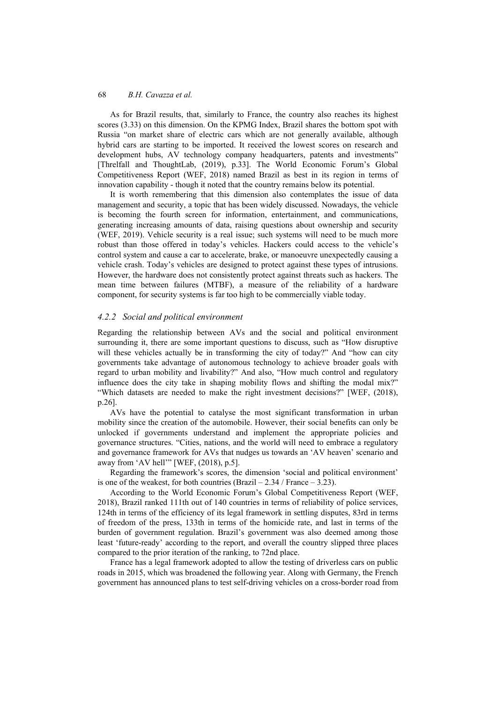As for Brazil results, that, similarly to France, the country also reaches its highest scores (3.33) on this dimension. On the KPMG Index, Brazil shares the bottom spot with Russia "on market share of electric cars which are not generally available, although hybrid cars are starting to be imported. It received the lowest scores on research and development hubs, AV technology company headquarters, patents and investments" [Threlfall and ThoughtLab, (2019), p.33]. The World Economic Forum's Global Competitiveness Report (WEF, 2018) named Brazil as best in its region in terms of innovation capability - though it noted that the country remains below its potential.

It is worth remembering that this dimension also contemplates the issue of data management and security, a topic that has been widely discussed. Nowadays, the vehicle is becoming the fourth screen for information, entertainment, and communications, generating increasing amounts of data, raising questions about ownership and security (WEF, 2019). Vehicle security is a real issue; such systems will need to be much more robust than those offered in today's vehicles. Hackers could access to the vehicle's control system and cause a car to accelerate, brake, or manoeuvre unexpectedly causing a vehicle crash. Today's vehicles are designed to protect against these types of intrusions. However, the hardware does not consistently protect against threats such as hackers. The mean time between failures (MTBF), a measure of the reliability of a hardware component, for security systems is far too high to be commercially viable today.

## *4.2.2 Social and political environment*

Regarding the relationship between AVs and the social and political environment surrounding it, there are some important questions to discuss, such as "How disruptive will these vehicles actually be in transforming the city of today?" And "how can city governments take advantage of autonomous technology to achieve broader goals with regard to urban mobility and livability?" And also, "How much control and regulatory influence does the city take in shaping mobility flows and shifting the modal mix?" "Which datasets are needed to make the right investment decisions?" [WEF, (2018), p.26].

AVs have the potential to catalyse the most significant transformation in urban mobility since the creation of the automobile. However, their social benefits can only be unlocked if governments understand and implement the appropriate policies and governance structures. "Cities, nations, and the world will need to embrace a regulatory and governance framework for AVs that nudges us towards an 'AV heaven' scenario and away from 'AV hell'" [WEF, (2018), p.5].

Regarding the framework's scores, the dimension 'social and political environment' is one of the weakest, for both countries  $(Brazil - 2.34 / France - 3.23)$ .

According to the World Economic Forum's Global Competitiveness Report (WEF, 2018), Brazil ranked 111th out of 140 countries in terms of reliability of police services, 124th in terms of the efficiency of its legal framework in settling disputes, 83rd in terms of freedom of the press, 133th in terms of the homicide rate, and last in terms of the burden of government regulation. Brazil's government was also deemed among those least 'future-ready' according to the report, and overall the country slipped three places compared to the prior iteration of the ranking, to 72nd place.

France has a legal framework adopted to allow the testing of driverless cars on public roads in 2015, which was broadened the following year. Along with Germany, the French government has announced plans to test self-driving vehicles on a cross-border road from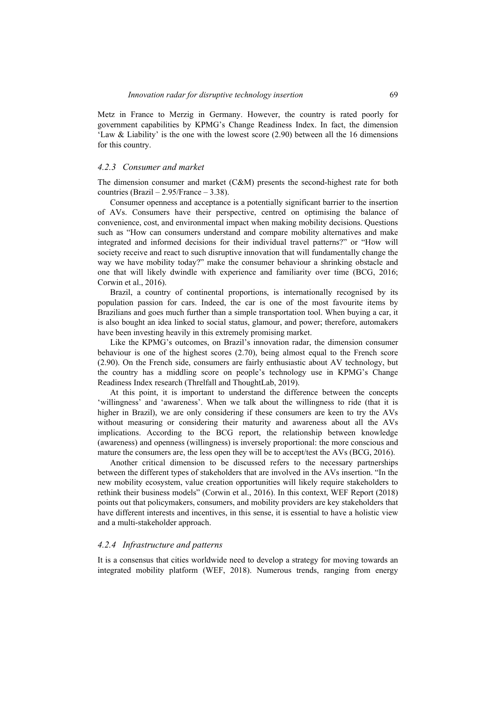Metz in France to Merzig in Germany. However, the country is rated poorly for government capabilities by KPMG's Change Readiness Index. In fact, the dimension 'Law & Liability' is the one with the lowest score (2.90) between all the 16 dimensions for this country.

#### *4.2.3 Consumer and market*

The dimension consumer and market (C&M) presents the second-highest rate for both countries (Brazil –  $2.95$ /France –  $3.38$ ).

Consumer openness and acceptance is a potentially significant barrier to the insertion of AVs. Consumers have their perspective, centred on optimising the balance of convenience, cost, and environmental impact when making mobility decisions. Questions such as "How can consumers understand and compare mobility alternatives and make integrated and informed decisions for their individual travel patterns?" or "How will society receive and react to such disruptive innovation that will fundamentally change the way we have mobility today?" make the consumer behaviour a shrinking obstacle and one that will likely dwindle with experience and familiarity over time (BCG, 2016; Corwin et al., 2016).

Brazil, a country of continental proportions, is internationally recognised by its population passion for cars. Indeed, the car is one of the most favourite items by Brazilians and goes much further than a simple transportation tool. When buying a car, it is also bought an idea linked to social status, glamour, and power; therefore, automakers have been investing heavily in this extremely promising market.

Like the KPMG's outcomes, on Brazil's innovation radar, the dimension consumer behaviour is one of the highest scores (2.70), being almost equal to the French score (2.90). On the French side, consumers are fairly enthusiastic about AV technology, but the country has a middling score on people's technology use in KPMG's Change Readiness Index research (Threlfall and ThoughtLab, 2019).

At this point, it is important to understand the difference between the concepts 'willingness' and 'awareness'. When we talk about the willingness to ride (that it is higher in Brazil), we are only considering if these consumers are keen to try the AVs without measuring or considering their maturity and awareness about all the AVs implications. According to the BCG report, the relationship between knowledge (awareness) and openness (willingness) is inversely proportional: the more conscious and mature the consumers are, the less open they will be to accept/test the AVs (BCG, 2016).

Another critical dimension to be discussed refers to the necessary partnerships between the different types of stakeholders that are involved in the AVs insertion. "In the new mobility ecosystem, value creation opportunities will likely require stakeholders to rethink their business models" (Corwin et al., 2016). In this context, WEF Report (2018) points out that policymakers, consumers, and mobility providers are key stakeholders that have different interests and incentives, in this sense, it is essential to have a holistic view and a multi-stakeholder approach.

### *4.2.4 Infrastructure and patterns*

It is a consensus that cities worldwide need to develop a strategy for moving towards an integrated mobility platform (WEF, 2018). Numerous trends, ranging from energy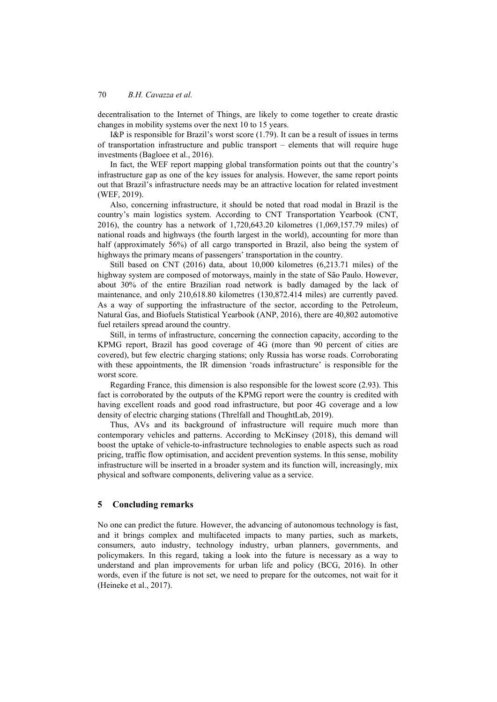decentralisation to the Internet of Things, are likely to come together to create drastic changes in mobility systems over the next 10 to 15 years.

I&P is responsible for Brazil's worst score (1.79). It can be a result of issues in terms of transportation infrastructure and public transport – elements that will require huge investments (Bagloee et al., 2016).

In fact, the WEF report mapping global transformation points out that the country's infrastructure gap as one of the key issues for analysis. However, the same report points out that Brazil's infrastructure needs may be an attractive location for related investment (WEF, 2019).

Also, concerning infrastructure, it should be noted that road modal in Brazil is the country's main logistics system. According to CNT Transportation Yearbook (CNT, 2016), the country has a network of 1,720,643.20 kilometres (1,069,157.79 miles) of national roads and highways (the fourth largest in the world), accounting for more than half (approximately 56%) of all cargo transported in Brazil, also being the system of highways the primary means of passengers' transportation in the country.

Still based on CNT (2016) data, about 10,000 kilometres (6,213.71 miles) of the highway system are composed of motorways, mainly in the state of São Paulo. However, about 30% of the entire Brazilian road network is badly damaged by the lack of maintenance, and only 210,618.80 kilometres (130,872.414 miles) are currently paved. As a way of supporting the infrastructure of the sector, according to the Petroleum, Natural Gas, and Biofuels Statistical Yearbook (ANP, 2016), there are 40,802 automotive fuel retailers spread around the country.

Still, in terms of infrastructure, concerning the connection capacity, according to the KPMG report, Brazil has good coverage of 4G (more than 90 percent of cities are covered), but few electric charging stations; only Russia has worse roads. Corroborating with these appointments, the IR dimension 'roads infrastructure' is responsible for the worst score.

Regarding France, this dimension is also responsible for the lowest score (2.93). This fact is corroborated by the outputs of the KPMG report were the country is credited with having excellent roads and good road infrastructure, but poor 4G coverage and a low density of electric charging stations (Threlfall and ThoughtLab, 2019).

Thus, AVs and its background of infrastructure will require much more than contemporary vehicles and patterns. According to McKinsey (2018), this demand will boost the uptake of vehicle-to-infrastructure technologies to enable aspects such as road pricing, traffic flow optimisation, and accident prevention systems. In this sense, mobility infrastructure will be inserted in a broader system and its function will, increasingly, mix physical and software components, delivering value as a service.

## **5 Concluding remarks**

No one can predict the future. However, the advancing of autonomous technology is fast, and it brings complex and multifaceted impacts to many parties, such as markets, consumers, auto industry, technology industry, urban planners, governments, and policymakers. In this regard, taking a look into the future is necessary as a way to understand and plan improvements for urban life and policy (BCG, 2016). In other words, even if the future is not set, we need to prepare for the outcomes, not wait for it (Heineke et al., 2017).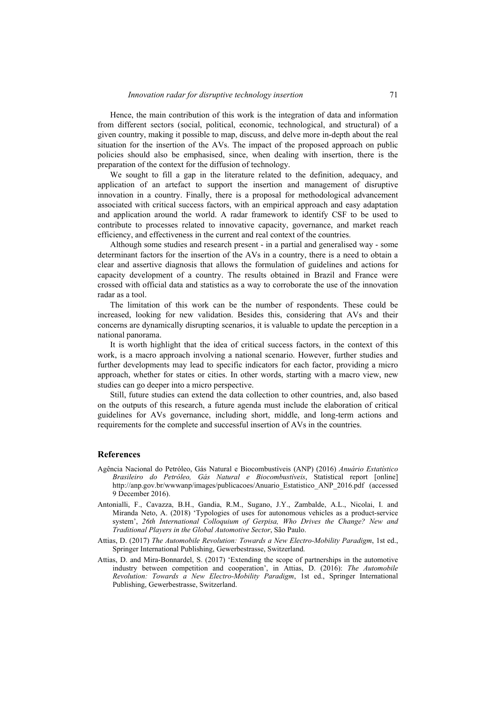Hence, the main contribution of this work is the integration of data and information from different sectors (social, political, economic, technological, and structural) of a given country, making it possible to map, discuss, and delve more in-depth about the real situation for the insertion of the AVs. The impact of the proposed approach on public policies should also be emphasised, since, when dealing with insertion, there is the preparation of the context for the diffusion of technology.

We sought to fill a gap in the literature related to the definition, adequacy, and application of an artefact to support the insertion and management of disruptive innovation in a country. Finally, there is a proposal for methodological advancement associated with critical success factors, with an empirical approach and easy adaptation and application around the world. A radar framework to identify CSF to be used to contribute to processes related to innovative capacity, governance, and market reach efficiency, and effectiveness in the current and real context of the countries.

Although some studies and research present - in a partial and generalised way - some determinant factors for the insertion of the AVs in a country, there is a need to obtain a clear and assertive diagnosis that allows the formulation of guidelines and actions for capacity development of a country. The results obtained in Brazil and France were crossed with official data and statistics as a way to corroborate the use of the innovation radar as a tool.

The limitation of this work can be the number of respondents. These could be increased, looking for new validation. Besides this, considering that AVs and their concerns are dynamically disrupting scenarios, it is valuable to update the perception in a national panorama.

It is worth highlight that the idea of critical success factors, in the context of this work, is a macro approach involving a national scenario. However, further studies and further developments may lead to specific indicators for each factor, providing a micro approach, whether for states or cities. In other words, starting with a macro view, new studies can go deeper into a micro perspective.

Still, future studies can extend the data collection to other countries, and, also based on the outputs of this research, a future agenda must include the elaboration of critical guidelines for AVs governance, including short, middle, and long-term actions and requirements for the complete and successful insertion of AVs in the countries.

#### **References**

- Agência Nacional do Petróleo, Gás Natural e Biocombustíveis (ANP) (2016) *Anuário Estatístico Brasileiro do Petróleo, Gás Natural e Biocombustíveis*, Statistical report [online] http://anp.gov.br/wwwanp/images/publicacoes/Anuario\_Estatistico\_ANP\_2016.pdf (accessed 9 December 2016).
- Antonialli, F., Cavazza, B.H., Gandia, R.M., Sugano, J.Y., Zambalde, A.L., Nicolai, I. and Miranda Neto, A. (2018) 'Typologies of uses for autonomous vehicles as a product-service system', *26th International Colloquium of Gerpisa, Who Drives the Change? New and Traditional Players in the Global Automotive Sector*, São Paulo.
- Attias, D. (2017) *The Automobile Revolution: Towards a New Electro-Mobility Paradigm*, 1st ed., Springer International Publishing, Gewerbestrasse, Switzerland.
- Attias, D. and Mira-Bonnardel, S. (2017) 'Extending the scope of partnerships in the automotive industry between competition and cooperation', in Attias, D. (2016): *The Automobile Revolution: Towards a New Electro-Mobility Paradigm*, 1st ed., Springer International Publishing, Gewerbestrasse, Switzerland.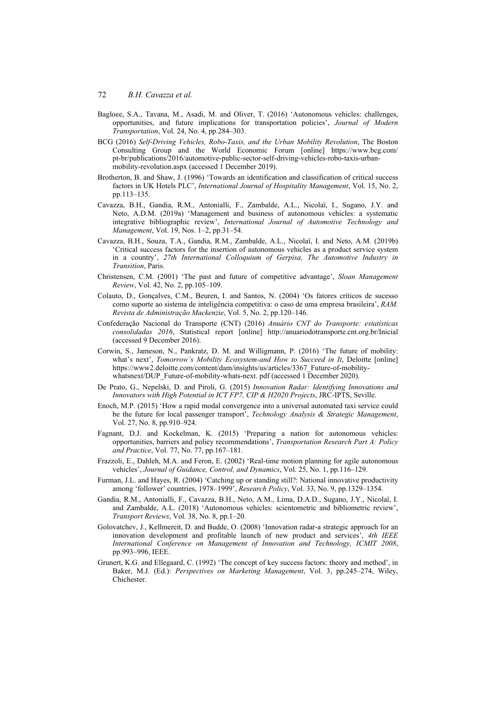- Bagloee, S.A., Tavana, M., Asadi, M. and Oliver, T. (2016) 'Autonomous vehicles: challenges, opportunities, and future implications for transportation policies', *Journal of Modern Transportation*, Vol. 24, No. 4, pp.284–303.
- BCG (2016) *Self-Driving Vehicles, Robo-Taxis, and the Urban Mobility Revolution*, The Boston Consulting Group and the World Economic Forum [online] https://www.bcg.com/ pt-br/publications/2016/automotive-public-sector-self-driving-vehicles-robo-taxis-urbanmobility-revolution.aspx (accessed 1 December 2019).
- Brotherton, B. and Shaw, J. (1996) 'Towards an identification and classification of critical success factors in UK Hotels PLC', *International Journal of Hospitality Management*, Vol. 15, No. 2, pp.113–135.
- Cavazza, B.H., Gandia, R.M., Antonialli, F., Zambalde, A.L., Nicolaï, I., Sugano, J.Y. and Neto, A.D.M. (2019a) 'Management and business of autonomous vehicles: a systematic integrative bibliographic review', *International Journal of Automotive Technology and Management*, Vol. 19, Nos. 1–2, pp.31–54.
- Cavazza, B.H., Souza, T.A., Gandia, R.M., Zambalde, A.L., Nicolaï, I. and Neto, A.M. (2019b) 'Critical success factors for the insertion of autonomous vehicles as a product service system in a country', *27th International Colloquium of Gerpisa, The Automotive Industry in Transition*, Paris.
- Christensen, C.M. (2001) 'The past and future of competitive advantage', *Sloan Management Review*, Vol. 42, No. 2, pp.105–109.
- Colauto, D., Gonçalves, C.M., Beuren, I. and Santos, N. (2004) 'Os fatores críticos de sucesso como suporte ao sistema de inteligência competitiva: o caso de uma empresa brasileira', *RAM. Revista de Administração Mackenzie*, Vol. 5, No. 2, pp.120–146.
- Confederação Nacional do Transporte (CNT) (2016) *Anuário CNT do Transporte: estatísticas consolidadas 2016*, Statistical report [online] http://anuariodotransporte.cnt.org.br/Inicial (accessed 9 December 2016).
- Corwin, S., Jameson, N., Pankratz, D. M. and Willigmann, P. (2016) 'The future of mobility: what's next', *Tomorrow's Mobility Ecosystem-and How to Succeed in It*, Deloitte [online] https://www2.deloitte.com/content/dam/insights/us/articles/3367\_Future-of-mobilitywhatsnext/DUP\_Future-of-mobility-whats-next. pdf (accessed 1 December 2020).
- De Prato, G., Nepelski, D. and Piroli, G. (2015) *Innovation Radar: Identifying Innovations and Innovators with High Potential in ICT FP7, CIP & H2020 Projects*, JRC-IPTS, Seville.
- Enoch, M.P. (2015) 'How a rapid modal convergence into a universal automated taxi service could be the future for local passenger transport', *Technology Analysis & Strategic Management*, Vol. 27, No. 8, pp.910–924.
- Fagnant, D.J. and Kockelman, K. (2015) 'Preparing a nation for autonomous vehicles: opportunities, barriers and policy recommendations', *Transportation Research Part A: Policy and Practice*, Vol. 77, No. 77, pp.167–181.
- Frazzoli, E., Dahleh, M.A. and Feron, E. (2002) 'Real-time motion planning for agile autonomous vehicles', *Journal of Guidance, Control, and Dynamics*, Vol. 25, No. 1, pp.116–129.
- Furman, J.L. and Hayes, R. (2004) 'Catching up or standing still?: National innovative productivity among 'follower' countries, 1978–1999', *Research Policy*, Vol. 33, No. 9, pp.1329–1354.
- Gandia, R.M., Antonialli, F., Cavazza, B.H., Neto, A.M., Lima, D.A.D., Sugano, J.Y., Nicolaï, I. and Zambalde, A.L. (2018) 'Autonomous vehicles: scientometric and bibliometric review', *Transport Reviews*, Vol. 38, No. 8, pp.1–20.
- Golovatchev, J., Kellmereit, D. and Budde, O. (2008) 'Innovation radar-a strategic approach for an innovation development and profitable launch of new product and services', *4th IEEE International Conference on Management of Innovation and Technology, ICMIT 2008*, pp.993–996, IEEE.
- Grunert, K.G. and Ellegaard, C. (1992) 'The concept of key success factors: theory and method', in Baker, M.J. (Ed.): *Perspectives on Marketing Management*, Vol. 3, pp.245–274, Wiley, Chichester.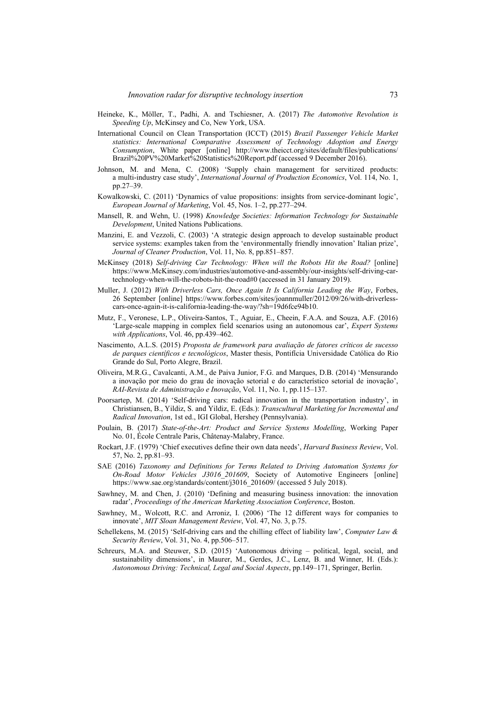- Heineke, K., Möller, T., Padhi, A. and Tschiesner, A. (2017) *The Automotive Revolution is Speeding Up*, McKinsey and Co, New York, USA.
- International Council on Clean Transportation (ICCT) (2015) *Brazil Passenger Vehicle Market statistics: International Comparative Assessment of Technology Adoption and Energy Consumption*, White paper [online] http://www.theicct.org/sites/default/files/publications/ Brazil%20PV%20Market%20Statistics%20Report.pdf (accessed 9 December 2016).
- Johnson, M. and Mena, C. (2008) 'Supply chain management for servitized products: a multi-industry case study', *International Journal of Production Economics*, Vol. 114, No. 1, pp.27–39.
- Kowalkowski, C. (2011) 'Dynamics of value propositions: insights from service-dominant logic', *European Journal of Marketing*, Vol. 45, Nos. 1–2, pp.277–294.
- Mansell, R. and Wehn, U. (1998) *Knowledge Societies: Information Technology for Sustainable Development*, United Nations Publications.
- Manzini, E. and Vezzoli, C. (2003) 'A strategic design approach to develop sustainable product service systems: examples taken from the 'environmentally friendly innovation' Italian prize', *Journal of Cleaner Production*, Vol. 11, No. 8, pp.851–857.
- McKinsey (2018) *Self-driving Car Technology: When will the Robots Hit the Road?* [online] https://www.McKinsey.com/industries/automotive-and-assembly/our-insights/self-driving-cartechnology-when-will-the-robots-hit-the-road#0 (accessed in 31 January 2019).
- Muller, J. (2012) *With Driverless Cars, Once Again It Is California Leading the Way*, Forbes, 26 September [online] https://www.forbes.com/sites/joannmuller/2012/09/26/with-driverlesscars-once-again-it-is-california-leading-the-way/?sh=19d6fce94b10.
- Mutz, F., Veronese, L.P., Oliveira-Santos, T., Aguiar, E., Cheein, F.A.A. and Souza, A.F. (2016) 'Large-scale mapping in complex field scenarios using an autonomous car', *Expert Systems with Applications*, Vol. 46, pp.439–462.
- Nascimento, A.L.S. (2015) *Proposta de framework para avaliação de fatores críticos de sucesso de parques científicos e tecnológicos*, Master thesis, Pontifícia Universidade Católica do Rio Grande do Sul, Porto Alegre, Brazil.
- Oliveira, M.R.G., Cavalcanti, A.M., de Paiva Junior, F.G. and Marques, D.B. (2014) 'Mensurando a inovação por meio do grau de inovação setorial e do característico setorial de inovação', *RAI-Revista de Administração e Inovação*, Vol. 11, No. 1, pp.115–137.
- Poorsartep, M. (2014) 'Self-driving cars: radical innovation in the transportation industry', in Christiansen, B., Yildiz, S. and Yildiz, E. (Eds.): *Transcultural Marketing for Incremental and Radical Innovation*, 1st ed., IGI Global, Hershey (Pennsylvania).
- Poulain, B. (2017) *State-of-the-Art: Product and Service Systems Modelling*, Working Paper No. 01, École Centrale Paris, Châtenay-Malabry, France.
- Rockart, J.F. (1979) 'Chief executives define their own data needs', *Harvard Business Review*, Vol. 57, No. 2, pp.81–93.
- SAE (2016) *Taxonomy and Definitions for Terms Related to Driving Automation Systems for On-Road Motor Vehicles J3016\_201609*, Society of Automotive Engineers [online] https://www.sae.org/standards/content/j3016\_201609/ (accessed 5 July 2018).
- Sawhney, M. and Chen, J. (2010) 'Defining and measuring business innovation: the innovation radar', *Proceedings of the American Marketing Association Conference*, Boston.
- Sawhney, M., Wolcott, R.C. and Arroniz, I. (2006) 'The 12 different ways for companies to innovate', *MIT Sloan Management Review*, Vol. 47, No. 3, p.75.
- Schellekens, M. (2015) 'Self-driving cars and the chilling effect of liability law', *Computer Law & Security Review*, Vol. 31, No. 4, pp.506–517.
- Schreurs, M.A. and Steuwer, S.D. (2015) 'Autonomous driving political, legal, social, and sustainability dimensions', in Maurer, M., Gerdes, J.C., Lenz, B. and Winner, H. (Eds.): *Autonomous Driving: Technical, Legal and Social Aspects*, pp.149–171, Springer, Berlin.